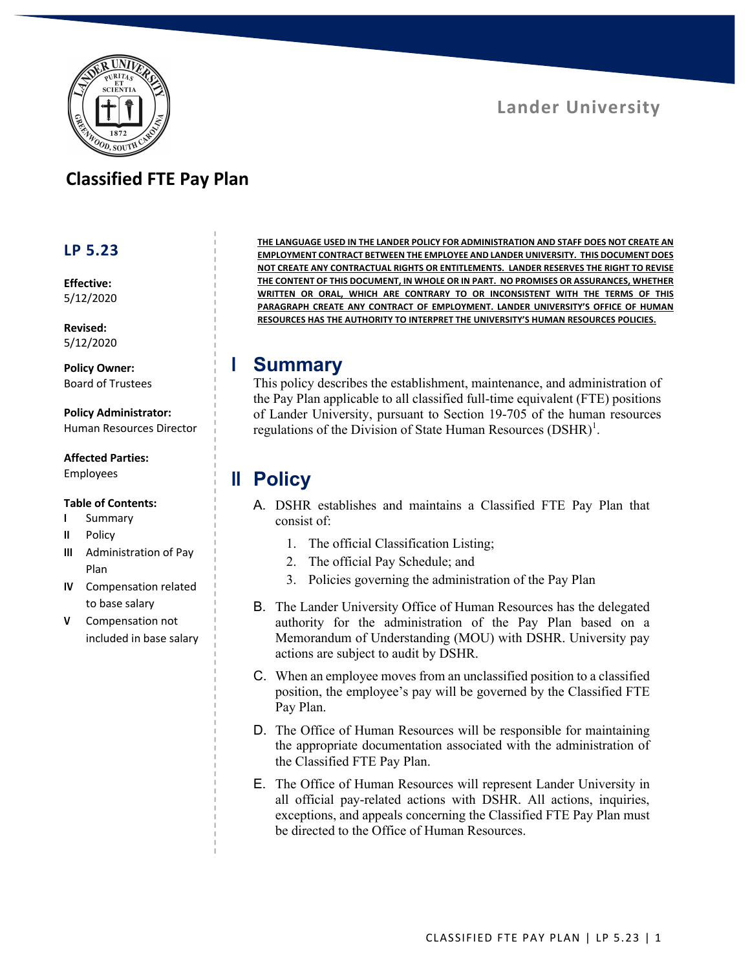

# **Classified FTE Pay Plan**

#### **LP 5.23**

**Effective:** 5/12/2020

**Revised:** 5/12/2020

**Policy Owner:** Board of Trustees

**Policy Administrator:** Human Resources Director

**Affected Parties:**

# Employees

#### **Table of Contents:**

- **I** Summary
- **II** Policy
- **III** Administration of Pay Plan
- **IV** Compensation related to base salary
- **V** Compensation not included in base salary

**THE LANGUAGE USED IN THE LANDER POLICY FOR ADMINISTRATION AND STAFF DOES NOT CREATE AN EMPLOYMENT CONTRACT BETWEEN THE EMPLOYEE AND LANDER UNIVERSITY. THIS DOCUMENT DOES NOT CREATE ANY CONTRACTUAL RIGHTS OR ENTITLEMENTS. LANDER RESERVES THE RIGHT TO REVISE THE CONTENT OF THIS DOCUMENT, IN WHOLE OR IN PART. NO PROMISES OR ASSURANCES, WHETHER WRITTEN OR ORAL, WHICH ARE CONTRARY TO OR INCONSISTENT WITH THE TERMS OF THIS PARAGRAPH CREATE ANY CONTRACT OF EMPLOYMENT. LANDER UNIVERSITY'S OFFICE OF HUMAN RESOURCES HAS THE AUTHORITY TO INTERPRET THE UNIVERSITY'S HUMAN RESOURCES POLICIES.**

#### **I Summary**

This policy describes the establishment, maintenance, and administration of the Pay Plan applicable to all classified full-time equivalent (FTE) positions of Lander University, pursuant to Section 19-705 of the human resources regulations of the Division of State Human Resources  $(DSHR)^1$ .

# **II Policy**

- A. DSHR establishes and maintains a Classified FTE Pay Plan that consist of:
	- 1. The official Classification Listing;
	- 2. The official Pay Schedule; and
	- 3. Policies governing the administration of the Pay Plan
- B. The Lander University Office of Human Resources has the delegated authority for the administration of the Pay Plan based on a Memorandum of Understanding (MOU) with DSHR. University pay actions are subject to audit by DSHR.
- C. When an employee moves from an unclassified position to a classified position, the employee's pay will be governed by the Classified FTE Pay Plan.
- D. The Office of Human Resources will be responsible for maintaining the appropriate documentation associated with the administration of the Classified FTE Pay Plan.
- E. The Office of Human Resources will represent Lander University in all official pay-related actions with DSHR. All actions, inquiries, exceptions, and appeals concerning the Classified FTE Pay Plan must be directed to the Office of Human Resources.

# **Lander University**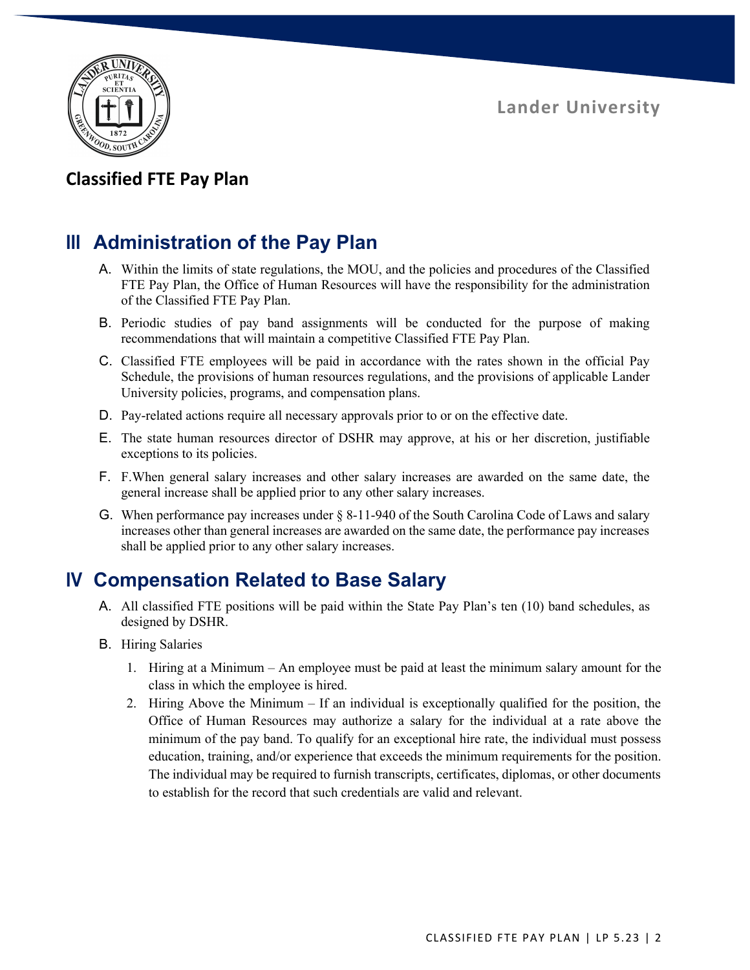

### **Classified FTE Pay Plan**

# **III Administration of the Pay Plan**

- A. Within the limits of state regulations, the MOU, and the policies and procedures of the Classified FTE Pay Plan, the Office of Human Resources will have the responsibility for the administration of the Classified FTE Pay Plan.
- B. Periodic studies of pay band assignments will be conducted for the purpose of making recommendations that will maintain a competitive Classified FTE Pay Plan.
- C. Classified FTE employees will be paid in accordance with the rates shown in the official Pay Schedule, the provisions of human resources regulations, and the provisions of applicable Lander University policies, programs, and compensation plans.
- D. Pay-related actions require all necessary approvals prior to or on the effective date.
- E. The state human resources director of DSHR may approve, at his or her discretion, justifiable exceptions to its policies.
- F. F.When general salary increases and other salary increases are awarded on the same date, the general increase shall be applied prior to any other salary increases.
- G. When performance pay increases under § 8-11-940 of the South Carolina Code of Laws and salary increases other than general increases are awarded on the same date, the performance pay increases shall be applied prior to any other salary increases.

# **IV Compensation Related to Base Salary**

- A. All classified FTE positions will be paid within the State Pay Plan's ten (10) band schedules, as designed by DSHR.
- B. Hiring Salaries
	- 1. Hiring at a Minimum An employee must be paid at least the minimum salary amount for the class in which the employee is hired.
	- 2. Hiring Above the Minimum If an individual is exceptionally qualified for the position, the Office of Human Resources may authorize a salary for the individual at a rate above the minimum of the pay band. To qualify for an exceptional hire rate, the individual must possess education, training, and/or experience that exceeds the minimum requirements for the position. The individual may be required to furnish transcripts, certificates, diplomas, or other documents to establish for the record that such credentials are valid and relevant.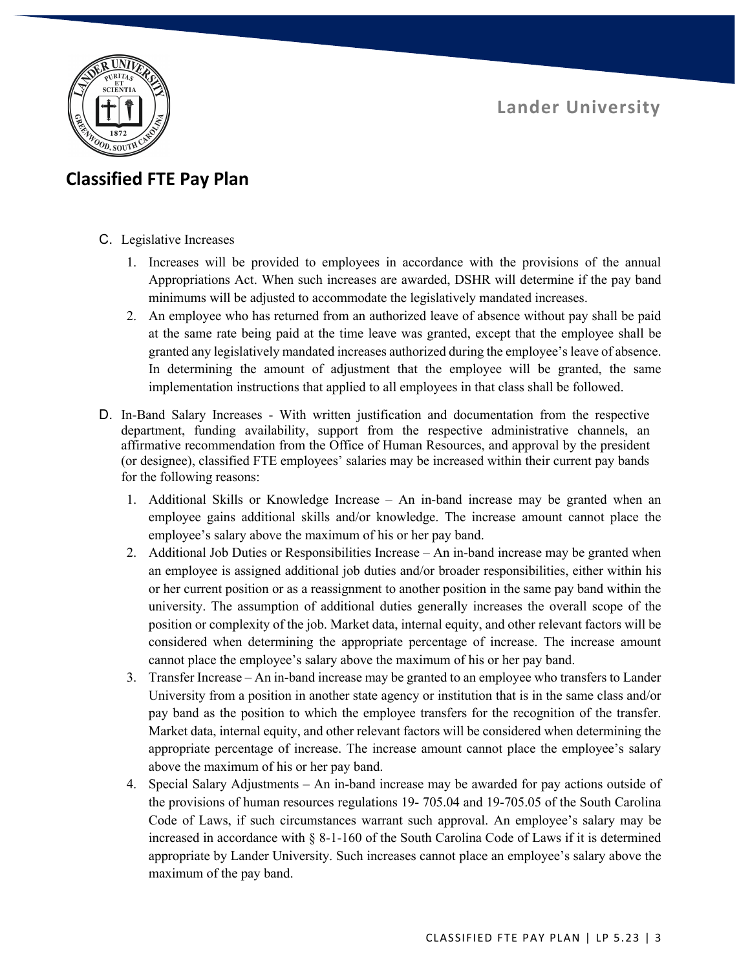

# **Classified FTE Pay Plan**

- C. Legislative Increases
	- 1. Increases will be provided to employees in accordance with the provisions of the annual Appropriations Act. When such increases are awarded, DSHR will determine if the pay band minimums will be adjusted to accommodate the legislatively mandated increases.
	- 2. An employee who has returned from an authorized leave of absence without pay shall be paid at the same rate being paid at the time leave was granted, except that the employee shall be granted any legislatively mandated increases authorized during the employee's leave of absence. In determining the amount of adjustment that the employee will be granted, the same implementation instructions that applied to all employees in that class shall be followed.
- D. In-Band Salary Increases With written justification and documentation from the respective department, funding availability, support from the respective administrative channels, an affirmative recommendation from the Office of Human Resources, and approval by the president (or designee), classified FTE employees' salaries may be increased within their current pay bands for the following reasons:
	- 1. Additional Skills or Knowledge Increase An in-band increase may be granted when an employee gains additional skills and/or knowledge. The increase amount cannot place the employee's salary above the maximum of his or her pay band.
	- 2. Additional Job Duties or Responsibilities Increase An in-band increase may be granted when an employee is assigned additional job duties and/or broader responsibilities, either within his or her current position or as a reassignment to another position in the same pay band within the university. The assumption of additional duties generally increases the overall scope of the position or complexity of the job. Market data, internal equity, and other relevant factors will be considered when determining the appropriate percentage of increase. The increase amount cannot place the employee's salary above the maximum of his or her pay band.
	- 3. Transfer Increase An in-band increase may be granted to an employee who transfers to Lander University from a position in another state agency or institution that is in the same class and/or pay band as the position to which the employee transfers for the recognition of the transfer. Market data, internal equity, and other relevant factors will be considered when determining the appropriate percentage of increase. The increase amount cannot place the employee's salary above the maximum of his or her pay band.
	- 4. Special Salary Adjustments An in-band increase may be awarded for pay actions outside of the provisions of human resources regulations 19- 705.04 and 19-705.05 of the South Carolina Code of Laws, if such circumstances warrant such approval. An employee's salary may be increased in accordance with § 8-1-160 of the South Carolina Code of Laws if it is determined appropriate by Lander University. Such increases cannot place an employee's salary above the maximum of the pay band.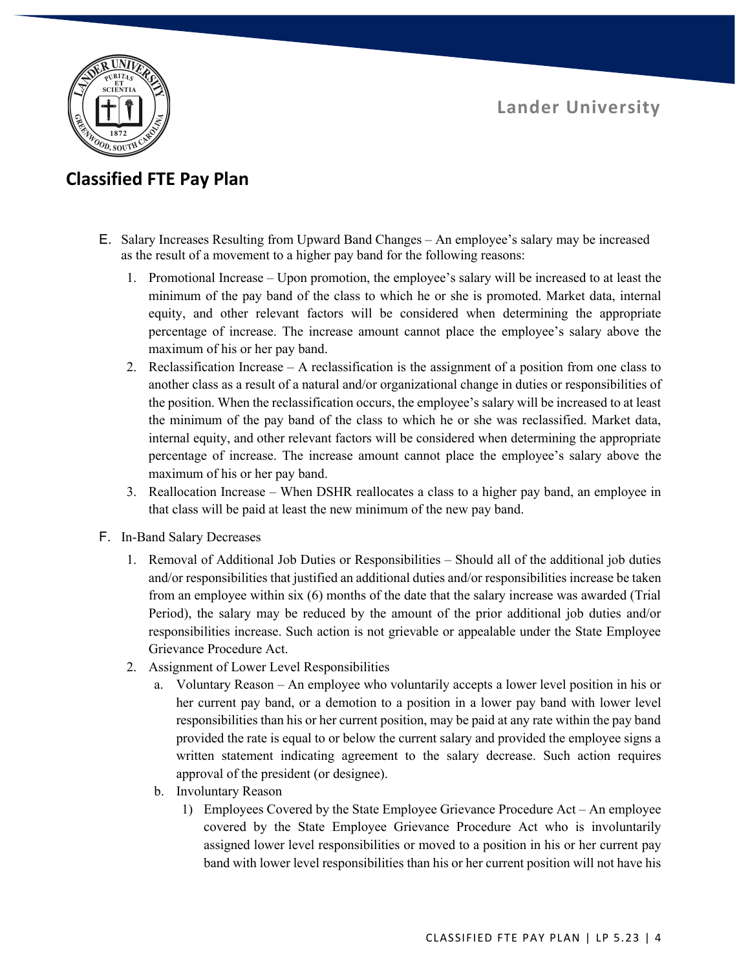

# **Classified FTE Pay Plan**

- E. Salary Increases Resulting from Upward Band Changes An employee's salary may be increased as the result of a movement to a higher pay band for the following reasons:
	- 1. Promotional Increase Upon promotion, the employee's salary will be increased to at least the minimum of the pay band of the class to which he or she is promoted. Market data, internal equity, and other relevant factors will be considered when determining the appropriate percentage of increase. The increase amount cannot place the employee's salary above the maximum of his or her pay band.
	- 2. Reclassification Increase A reclassification is the assignment of a position from one class to another class as a result of a natural and/or organizational change in duties or responsibilities of the position. When the reclassification occurs, the employee's salary will be increased to at least the minimum of the pay band of the class to which he or she was reclassified. Market data, internal equity, and other relevant factors will be considered when determining the appropriate percentage of increase. The increase amount cannot place the employee's salary above the maximum of his or her pay band.
	- 3. Reallocation Increase When DSHR reallocates a class to a higher pay band, an employee in that class will be paid at least the new minimum of the new pay band.
- F. In-Band Salary Decreases
	- 1. Removal of Additional Job Duties or Responsibilities Should all of the additional job duties and/or responsibilities that justified an additional duties and/or responsibilities increase be taken from an employee within six (6) months of the date that the salary increase was awarded (Trial Period), the salary may be reduced by the amount of the prior additional job duties and/or responsibilities increase. Such action is not grievable or appealable under the State Employee Grievance Procedure Act.
	- 2. Assignment of Lower Level Responsibilities
		- a. Voluntary Reason An employee who voluntarily accepts a lower level position in his or her current pay band, or a demotion to a position in a lower pay band with lower level responsibilities than his or her current position, may be paid at any rate within the pay band provided the rate is equal to or below the current salary and provided the employee signs a written statement indicating agreement to the salary decrease. Such action requires approval of the president (or designee).
		- b. Involuntary Reason
			- 1) Employees Covered by the State Employee Grievance Procedure Act An employee covered by the State Employee Grievance Procedure Act who is involuntarily assigned lower level responsibilities or moved to a position in his or her current pay band with lower level responsibilities than his or her current position will not have his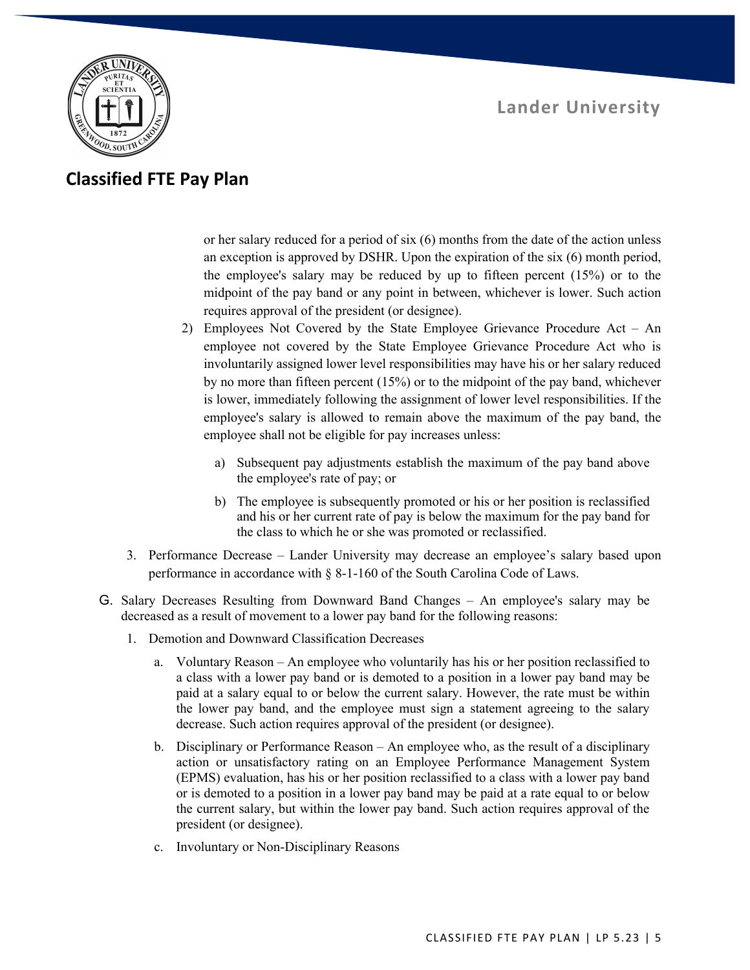

#### **Classified FTE Pay Plan**

or her salary reduced for a period of six (6) months from the date of the action unless an exception is approved by DSHR. Upon the expiration of the six (6) month period, the employee's salary may be reduced by up to fifteen percent (15%) or to the midpoint of the pay band or any point in between, whichever is lower. Such action requires approval of the president (or designee).

- 2) Employees Not Covered by the State Employee Grievance Procedure Act An employee not covered by the State Employee Grievance Procedure Act who is involuntarily assigned lower level responsibilities may have his or her salary reduced by no more than fifteen percent (15%) or to the midpoint of the pay band, whichever is lower, immediately following the assignment of lower level responsibilities. If the employee's salary is allowed to remain above the maximum of the pay band, the employee shall not be eligible for pay increases unless:
	- a) Subsequent pay adjustments establish the maximum of the pay band above the employee's rate of pay; or
	- b) The employee is subsequently promoted or his or her position is reclassified and his or her current rate of pay is below the maximum for the pay band for the class to which he or she was promoted or reclassified.
- 3. Performance Decrease Lander University may decrease an employee's salary based upon performance in accordance with § 8-1-160 of the South Carolina Code of Laws.
- G. Salary Decreases Resulting from Downward Band Changes An employee's salary may be decreased as a result of movement to a lower pay band for the following reasons:
	- 1. Demotion and Downward Classification Decreases
		- a. Voluntary Reason An employee who voluntarily has his or her position reclassified to a class with a lower pay band or is demoted to a position in a lower pay band may be paid at a salary equal to or below the current salary. However, the rate must be within the lower pay band, and the employee must sign a statement agreeing to the salary decrease. Such action requires approval of the president (or designee).
		- b. Disciplinary or Performance Reason An employee who, as the result of a disciplinary action or unsatisfactory rating on an Employee Performance Management System (EPMS) evaluation, has his or her position reclassified to a class with a lower pay band or is demoted to a position in a lower pay band may be paid at a rate equal to or below the current salary, but within the lower pay band. Such action requires approval of the president (or designee).
		- c. Involuntary or Non-Disciplinary Reasons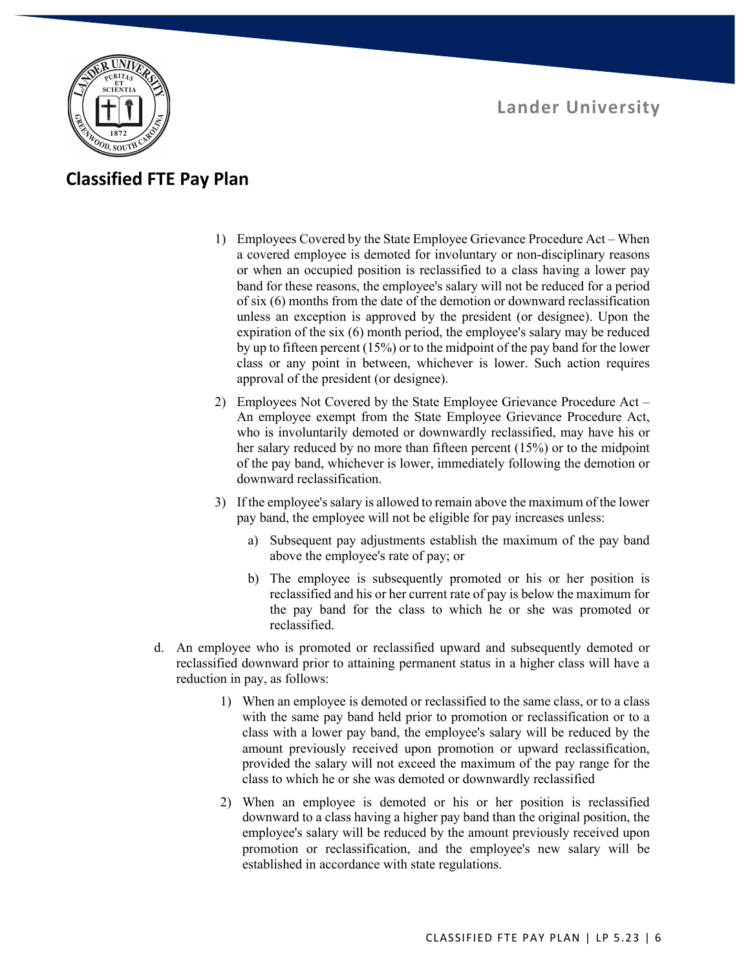



#### **Classified FTE Pay Plan**

- 1) Employees Covered by the State Employee Grievance Procedure Act When a covered employee is demoted for involuntary or non-disciplinary reasons or when an occupied position is reclassified to a class having a lower pay band for these reasons, the employee's salary will not be reduced for a period of six (6) months from the date of the demotion or downward reclassification unless an exception is approved by the president (or designee). Upon the expiration of the six (6) month period, the employee's salary may be reduced by up to fifteen percent (15%) or to the midpoint of the pay band for the lower class or any point in between, whichever is lower. Such action requires approval of the president (or designee).
- 2) Employees Not Covered by the State Employee Grievance Procedure Act An employee exempt from the State Employee Grievance Procedure Act, who is involuntarily demoted or downwardly reclassified, may have his or her salary reduced by no more than fifteen percent (15%) or to the midpoint of the pay band, whichever is lower, immediately following the demotion or downward reclassification.
- 3) If the employee's salary is allowed to remain above the maximum of the lower pay band, the employee will not be eligible for pay increases unless:
	- a) Subsequent pay adjustments establish the maximum of the pay band above the employee's rate of pay; or
	- b) The employee is subsequently promoted or his or her position is reclassified and his or her current rate of pay is below the maximum for the pay band for the class to which he or she was promoted or reclassified.
- d. An employee who is promoted or reclassified upward and subsequently demoted or reclassified downward prior to attaining permanent status in a higher class will have a reduction in pay, as follows:
	- 1) When an employee is demoted or reclassified to the same class, or to a class with the same pay band held prior to promotion or reclassification or to a class with a lower pay band, the employee's salary will be reduced by the amount previously received upon promotion or upward reclassification, provided the salary will not exceed the maximum of the pay range for the class to which he or she was demoted or downwardly reclassified
	- 2) When an employee is demoted or his or her position is reclassified downward to a class having a higher pay band than the original position, the employee's salary will be reduced by the amount previously received upon promotion or reclassification, and the employee's new salary will be established in accordance with state regulations.